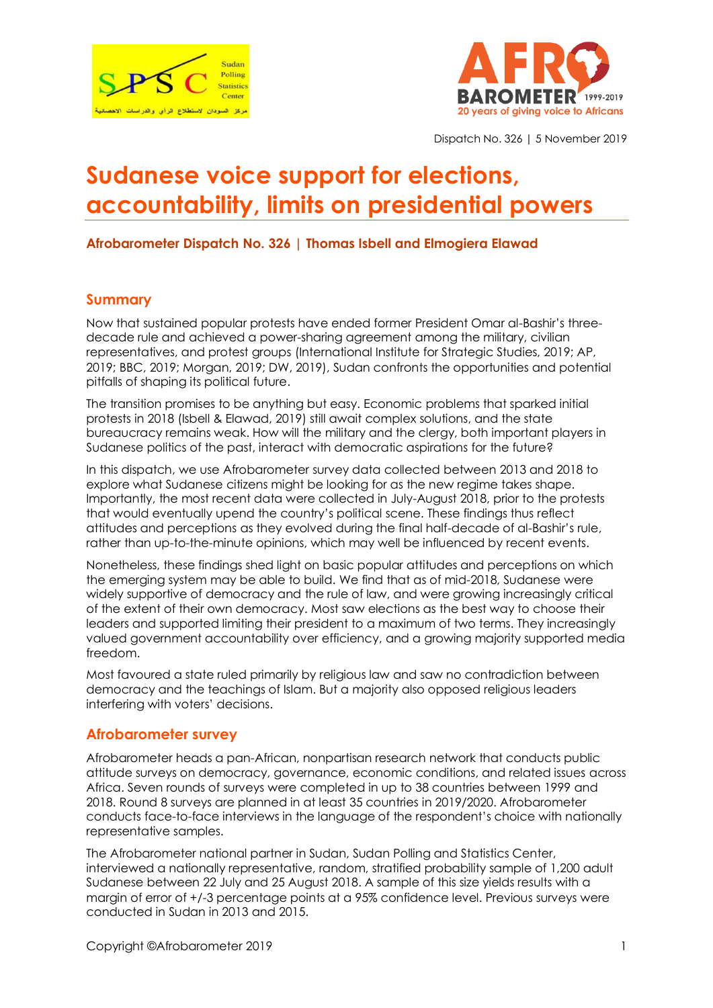



Dispatch No. 326 | 5 November 2019

# **Sudanese voice support for elections, accountability, limits on presidential powers**

#### **Afrobarometer Dispatch No. 326 | Thomas Isbell and Elmogiera Elawad**

#### **Summary**

Now that sustained popular protests have ended former President Omar al-Bashir's threedecade rule and achieved a power-sharing agreement among the military, civilian representatives, and protest groups (International Institute for Strategic Studies, 2019; AP, 2019; BBC, 2019; Morgan, 2019; DW, 2019), Sudan confronts the opportunities and potential pitfalls of shaping its political future.

The transition promises to be anything but easy. Economic problems that sparked initial protests in 2018 (Isbell & Elawad, 2019) still await complex solutions, and the state bureaucracy remains weak. How will the military and the clergy, both important players in Sudanese politics of the past, interact with democratic aspirations for the future?

In this dispatch, we use Afrobarometer survey data collected between 2013 and 2018 to explore what Sudanese citizens might be looking for as the new regime takes shape. Importantly, the most recent data were collected in July-August 2018, prior to the protests that would eventually upend the country's political scene. These findings thus reflect attitudes and perceptions as they evolved during the final half-decade of al-Bashir's rule, rather than up-to-the-minute opinions, which may well be influenced by recent events.

Nonetheless, these findings shed light on basic popular attitudes and perceptions on which the emerging system may be able to build. We find that as of mid-2018, Sudanese were widely supportive of democracy and the rule of law, and were growing increasingly critical of the extent of their own democracy. Most saw elections as the best way to choose their leaders and supported limiting their president to a maximum of two terms. They increasingly valued government accountability over efficiency, and a growing majority supported media freedom.

Most favoured a state ruled primarily by religious law and saw no contradiction between democracy and the teachings of Islam. But a majority also opposed religious leaders interfering with voters' decisions.

#### **Afrobarometer survey**

Afrobarometer heads a pan-African, nonpartisan research network that conducts public attitude surveys on democracy, governance, economic conditions, and related issues across Africa. Seven rounds of surveys were completed in up to 38 countries between 1999 and 2018. Round 8 surveys are planned in at least 35 countries in 2019/2020. Afrobarometer conducts face-to-face interviews in the language of the respondent's choice with nationally representative samples.

The Afrobarometer national partner in Sudan, Sudan Polling and Statistics Center, interviewed a nationally representative, random, stratified probability sample of 1,200 adult Sudanese between 22 July and 25 August 2018. A sample of this size yields results with a margin of error of +/-3 percentage points at a 95% confidence level. Previous surveys were conducted in Sudan in 2013 and 2015.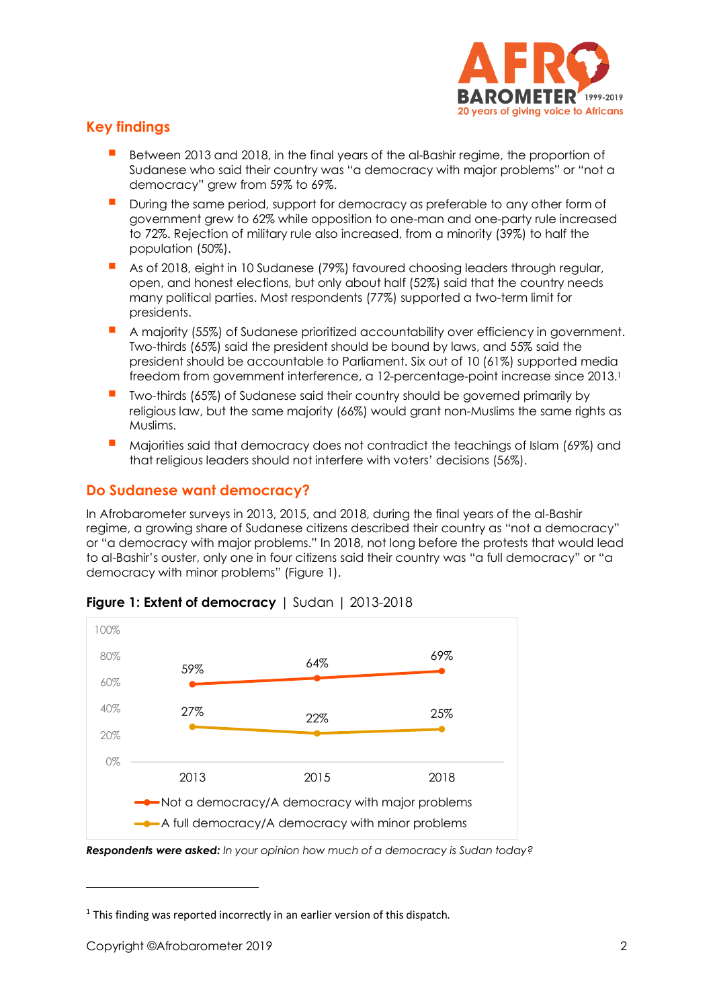

# **Key findings**

- Between 2013 and 2018, in the final years of the al-Bashir regime, the proportion of Sudanese who said their country was "a democracy with major problems" or "not a democracy" grew from 59% to 69%.
- During the same period, support for democracy as preferable to any other form of government grew to 62% while opposition to one-man and one-party rule increased to 72%. Rejection of military rule also increased, from a minority (39%) to half the population (50%).
- As of 2018, eight in 10 Sudanese (79%) favoured choosing leaders through regular, open, and honest elections, but only about half (52%) said that the country needs many political parties. Most respondents (77%) supported a two-term limit for presidents.
- A majority (55%) of Sudanese prioritized accountability over efficiency in government. Two-thirds (65%) said the president should be bound by laws, and 55% said the president should be accountable to Parliament. Six out of 10 (61%) supported media freedom from government interference, a 12-percentage-point increase since 2013. 1
- Two-thirds (65%) of Sudanese said their country should be governed primarily by religious law, but the same majority (66%) would grant non-Muslims the same rights as Muslims.
- Majorities said that democracy does not contradict the teachings of Islam (69%) and that religious leaders should not interfere with voters' decisions (56%).

# **Do Sudanese want democracy?**

In Afrobarometer surveys in 2013, 2015, and 2018, during the final years of the al-Bashir regime, a growing share of Sudanese citizens described their country as "not a democracy" or "a democracy with major problems." In 2018, not long before the protests that would lead to al-Bashir's ouster, only one in four citizens said their country was "a full democracy" or "a democracy with minor problems" (Figure 1).



# **Figure 1: Extent of democracy** | Sudan | 2013-2018

*Respondents were asked: In your opinion how much of a democracy is Sudan today?*

 $1$  This finding was reported incorrectly in an earlier version of this dispatch.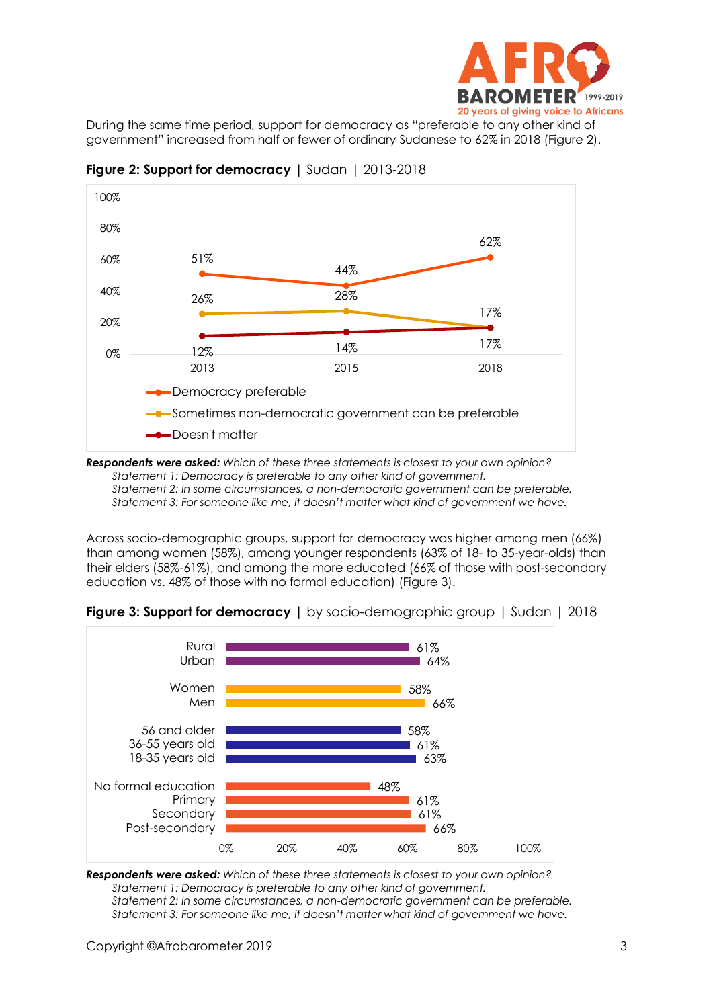

During the same time period, support for democracy as "preferable to any other kind of government" increased from half or fewer of ordinary Sudanese to 62% in 2018 (Figure 2).



**Figure 2: Support for democracy |** Sudan | 2013-2018

*Respondents were asked: Which of these three statements is closest to your own opinion? Statement 1: Democracy is preferable to any other kind of government. Statement 2: In some circumstances, a non-democratic government can be preferable. Statement 3: For someone like me, it doesn't matter what kind of government we have.*

Across socio-demographic groups, support for democracy was higher among men (66%) than among women (58%), among younger respondents (63% of 18- to 35-year-olds) than their elders (58%-61%), and among the more educated (66% of those with post-secondary education vs. 48% of those with no formal education) (Figure 3).



**Figure 3: Support for democracy |** by socio-demographic group | Sudan | 2018

*Respondents were asked: Which of these three statements is closest to your own opinion? Statement 1: Democracy is preferable to any other kind of government. Statement 2: In some circumstances, a non-democratic government can be preferable. Statement 3: For someone like me, it doesn't matter what kind of government we have.*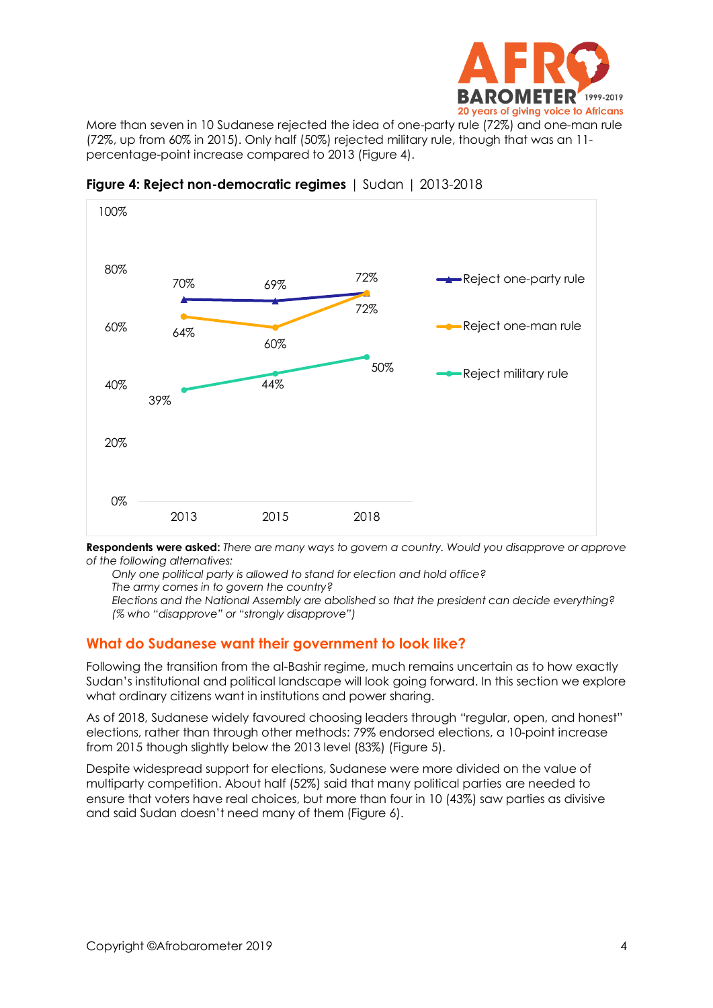

More than seven in 10 Sudanese rejected the idea of one-party rule (72%) and one-man rule (72%, up from 60% in 2015). Only half (50%) rejected military rule, though that was an 11 percentage-point increase compared to 2013 (Figure 4).



**Figure 4: Reject non-democratic regimes** | Sudan | 2013-2018

**Respondents were asked:** *There are many ways to govern a country. Would you disapprove or approve of the following alternatives:*

*Only one political party is allowed to stand for election and hold office? The army comes in to govern the country?*

*Elections and the National Assembly are abolished so that the president can decide everything? (% who "disapprove" or "strongly disapprove")*

#### **What do Sudanese want their government to look like?**

Following the transition from the al-Bashir regime, much remains uncertain as to how exactly Sudan's institutional and political landscape will look going forward. In this section we explore what ordinary citizens want in institutions and power sharing.

As of 2018, Sudanese widely favoured choosing leaders through "regular, open, and honest" elections, rather than through other methods: 79% endorsed elections, a 10-point increase from 2015 though slightly below the 2013 level (83%) (Figure 5).

Despite widespread support for elections, Sudanese were more divided on the value of multiparty competition. About half (52%) said that many political parties are needed to ensure that voters have real choices, but more than four in 10 (43%) saw parties as divisive and said Sudan doesn't need many of them (Figure 6).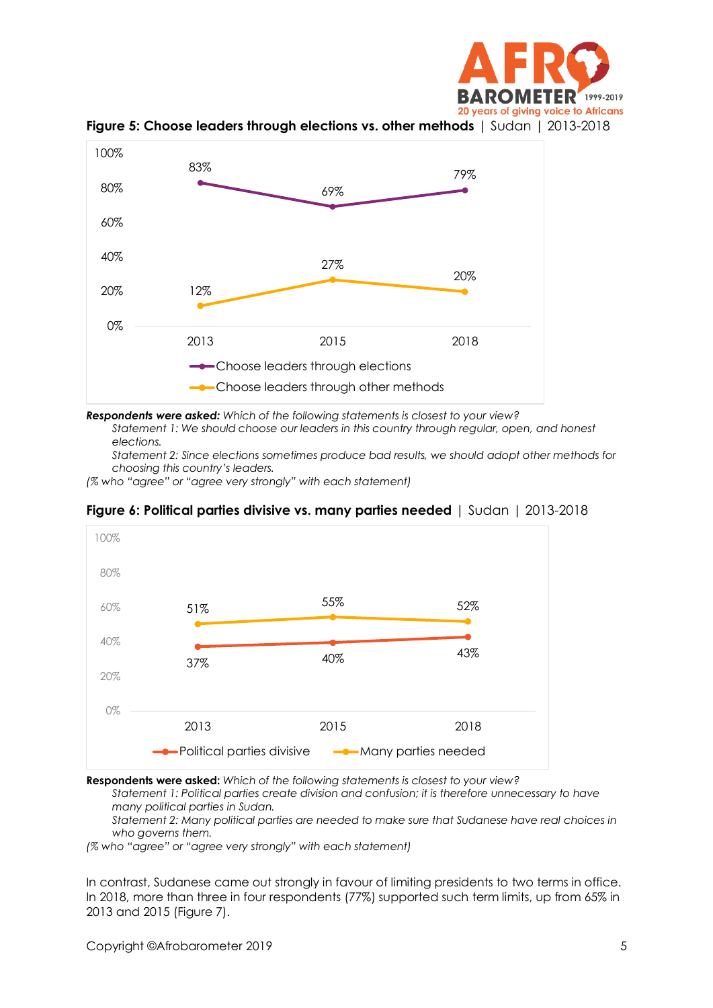



**Figure 5: Choose leaders through elections vs. other methods** | Sudan | 2013-2018

*Respondents were asked: Which of the following statements is closest to your view? Statement 1: We should choose our leaders in this country through regular, open, and honest* 

*elections.*

*Statement 2: Since elections sometimes produce bad results, we should adopt other methods for choosing this country's leaders.*

*(% who "agree" or "agree very strongly" with each statement)*



**Figure 6: Political parties divisive vs. many parties needed** | Sudan | 2013-2018

**Respondents were asked:** *Which of the following statements is closest to your view?*

*Statement 1: Political parties create division and confusion; it is therefore unnecessary to have many political parties in Sudan.*

*Statement 2: Many political parties are needed to make sure that Sudanese have real choices in who governs them.*

*(% who "agree" or "agree very strongly" with each statement)*

In contrast, Sudanese came out strongly in favour of limiting presidents to two terms in office. In 2018, more than three in four respondents (77%) supported such term limits, up from 65% in 2013 and 2015 (Figure 7).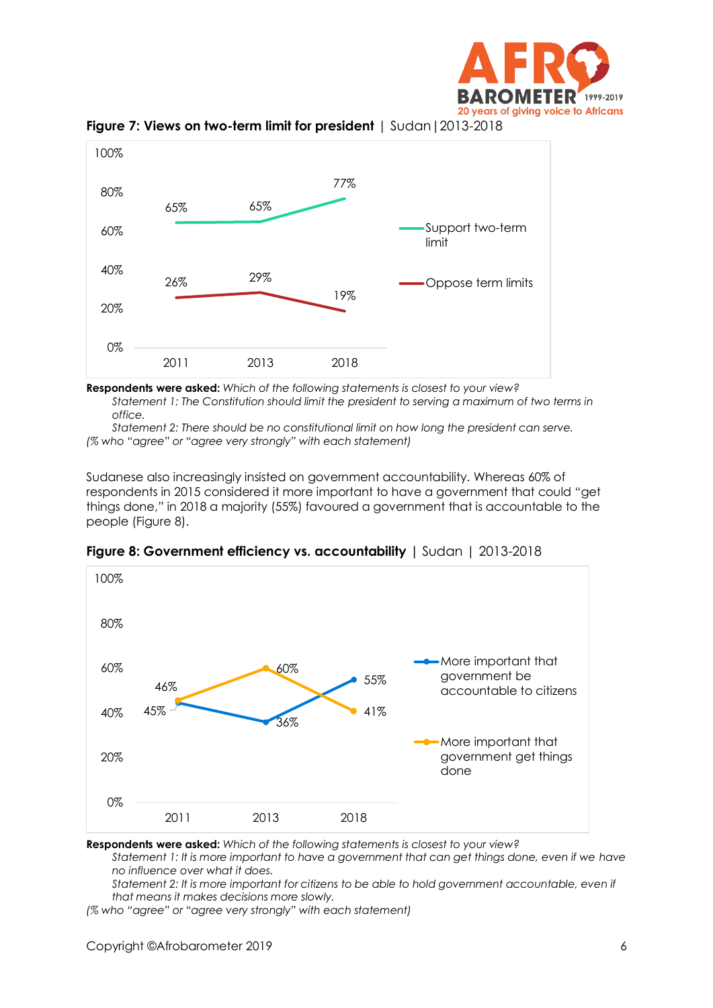





**Respondents were asked:** *Which of the following statements is closest to your view? Statement 1: The Constitution should limit the president to serving a maximum of two terms in office.*

*Statement 2: There should be no constitutional limit on how long the president can serve. (% who "agree" or "agree very strongly" with each statement)*

Sudanese also increasingly insisted on government accountability. Whereas 60% of respondents in 2015 considered it more important to have a government that could "get things done," in 2018 a majority (55%) favoured a government that is accountable to the people (Figure 8).



**Figure 8: Government efficiency vs. accountability |** Sudan | 2013-2018

**Respondents were asked:** *Which of the following statements is closest to your view?* 

*Statement 1: It is more important to have a government that can get things done, even if we have no influence over what it does.*

*Statement 2: It is more important for citizens to be able to hold government accountable, even if that means it makes decisions more slowly.*

*(% who "agree" or "agree very strongly" with each statement)*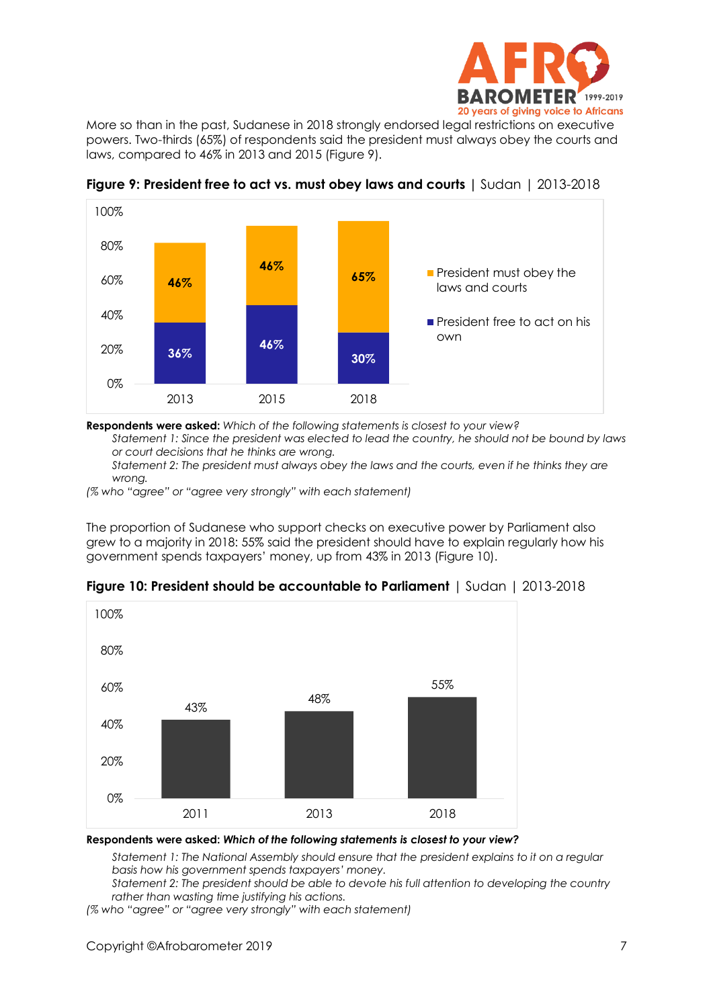

More so than in the past, Sudanese in 2018 strongly endorsed legal restrictions on executive powers. Two-thirds (65%) of respondents said the president must always obey the courts and laws, compared to 46% in 2013 and 2015 (Figure 9).



**Figure 9: President free to act vs. must obey laws and courts |** Sudan | 2013-2018

**Respondents were asked:** *Which of the following statements is closest to your view?*

*Statement 1: Since the president was elected to lead the country, he should not be bound by laws or court decisions that he thinks are wrong.* 

*Statement 2: The president must always obey the laws and the courts, even if he thinks they are wrong.*

*(% who "agree" or "agree very strongly" with each statement)*

The proportion of Sudanese who support checks on executive power by Parliament also grew to a majority in 2018: 55% said the president should have to explain regularly how his government spends taxpayers' money, up from 43% in 2013 (Figure 10).



**Figure 10: President should be accountable to Parliament** | Sudan | 2013-2018

**Respondents were asked:** *Which of the following statements is closest to your view?* 

*Statement 1: The National Assembly should ensure that the president explains to it on a regular basis how his government spends taxpayers' money.*

*Statement 2: The president should be able to devote his full attention to developing the country rather than wasting time justifying his actions.*

*(% who "agree" or "agree very strongly" with each statement)*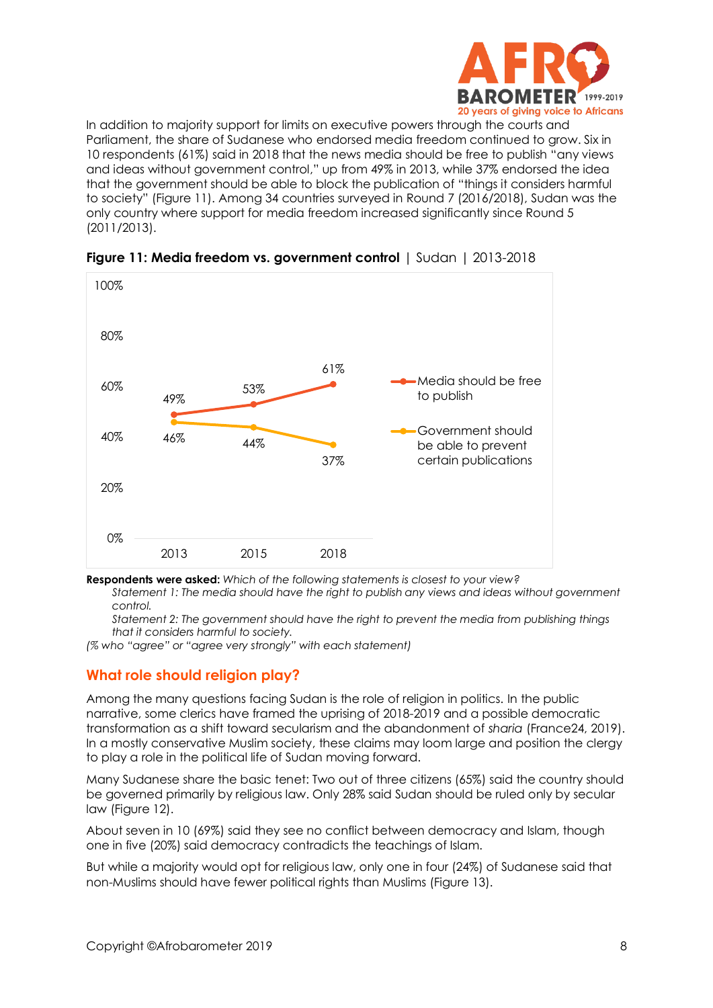

In addition to majority support for limits on executive powers through the courts and Parliament, the share of Sudanese who endorsed media freedom continued to grow. Six in 10 respondents (61%) said in 2018 that the news media should be free to publish "any views and ideas without government control," up from 49% in 2013, while 37% endorsed the idea that the government should be able to block the publication of "things it considers harmful to society" (Figure 11). Among 34 countries surveyed in Round 7 (2016/2018), Sudan was the only country where support for media freedom increased significantly since Round 5 (2011/2013).





**Respondents were asked:** *Which of the following statements is closest to your view?*

*Statement 1: The media should have the right to publish any views and ideas without government control.* 

*Statement 2: The government should have the right to prevent the media from publishing things that it considers harmful to society.*

*(% who "agree" or "agree very strongly" with each statement)*

# **What role should religion play?**

Among the many questions facing Sudan is the role of religion in politics. In the public narrative, some clerics have framed the uprising of 2018-2019 and a possible democratic transformation as a shift toward secularism and the abandonment of *sharia* (France24, 2019). In a mostly conservative Muslim society, these claims may loom large and position the clergy to play a role in the political life of Sudan moving forward.

Many Sudanese share the basic tenet: Two out of three citizens (65%) said the country should be governed primarily by religious law. Only 28% said Sudan should be ruled only by secular law (Figure 12).

About seven in 10 (69%) said they see no conflict between democracy and Islam, though one in five (20%) said democracy contradicts the teachings of Islam.

But while a majority would opt for religious law, only one in four (24%) of Sudanese said that non-Muslims should have fewer political rights than Muslims (Figure 13).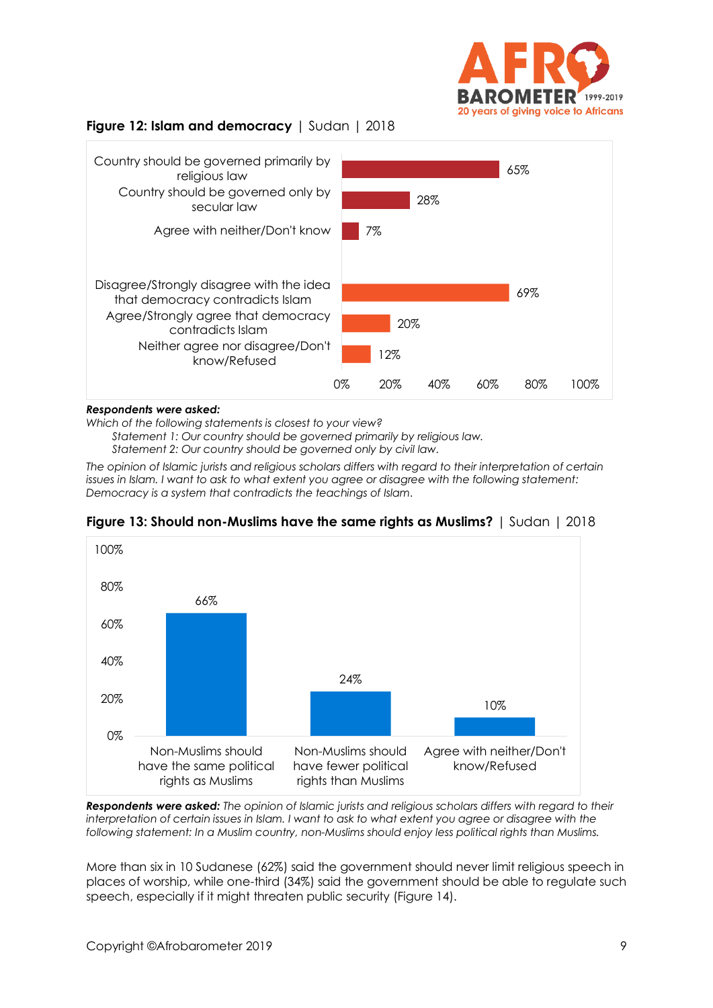

## **Figure 12: Islam and democracy** | Sudan | 2018



#### *Respondents were asked:*

*Which of the following statements is closest to your view?* 

*Statement 1: Our country should be governed primarily by religious law.* 

*Statement 2: Our country should be governed only by civil law.* 

*The opinion of Islamic jurists and religious scholars differs with regard to their interpretation of certain issues in Islam. I want to ask to what extent you agree or disagree with the following statement: Democracy is a system that contradicts the teachings of Islam.*



**Figure 13: Should non-Muslims have the same rights as Muslims?** | Sudan | 2018

*Respondents were asked: The opinion of Islamic jurists and religious scholars differs with regard to their interpretation of certain issues in Islam. I want to ask to what extent you agree or disagree with the following statement: In a Muslim country, non-Muslims should enjoy less political rights than Muslims.*

More than six in 10 Sudanese (62%) said the government should never limit religious speech in places of worship, while one-third (34%) said the government should be able to regulate such speech, especially if it might threaten public security (Figure 14).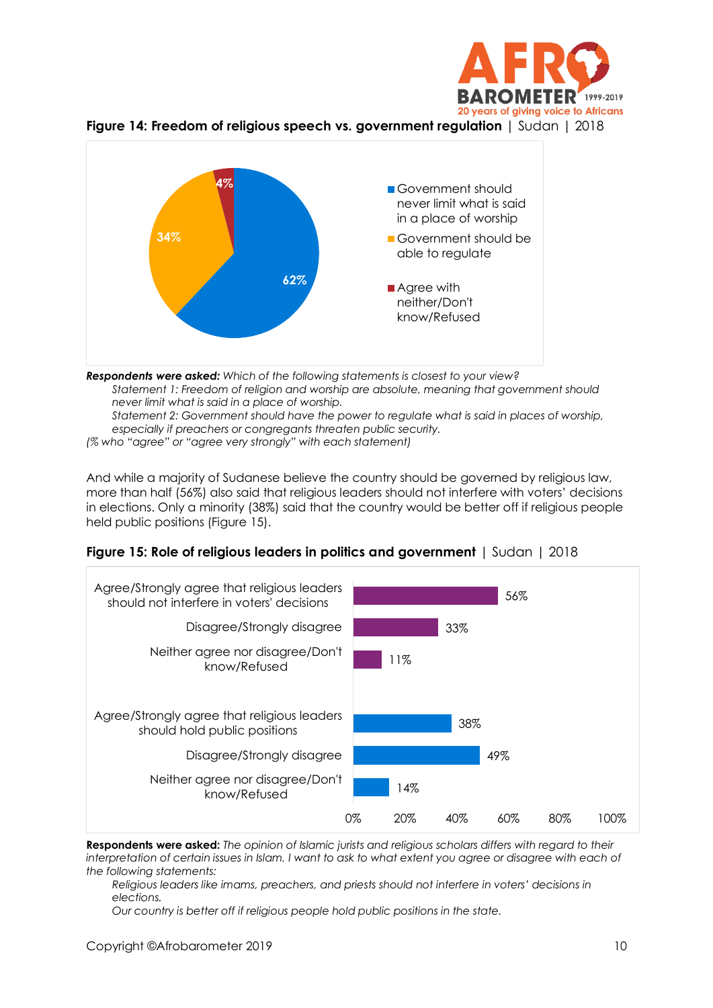





*Respondents were asked: Which of the following statements is closest to your view? Statement 1: Freedom of religion and worship are absolute, meaning that government should never limit what is said in a place of worship. Statement 2: Government should have the power to regulate what is said in places of worship, especially if preachers or congregants threaten public security. (% who "agree" or "agree very strongly" with each statement)*

And while a majority of Sudanese believe the country should be governed by religious law, more than half (56%) also said that religious leaders should not interfere with voters' decisions in elections. Only a minority (38%) said that the country would be better off if religious people held public positions (Figure 15).

|  |  |  | Figure 15: Role of religious leaders in politics and government $\mid$ Sudan $\mid$ 2018 |  |  |
|--|--|--|------------------------------------------------------------------------------------------|--|--|
|--|--|--|------------------------------------------------------------------------------------------|--|--|



**Respondents were asked:** *The opinion of Islamic jurists and religious scholars differs with regard to their interpretation of certain issues in Islam. I want to ask to what extent you agree or disagree with each of the following statements:*

*Religious leaders like imams, preachers, and priests should not interfere in voters' decisions in elections.* 

*Our country is better off if religious people hold public positions in the state.*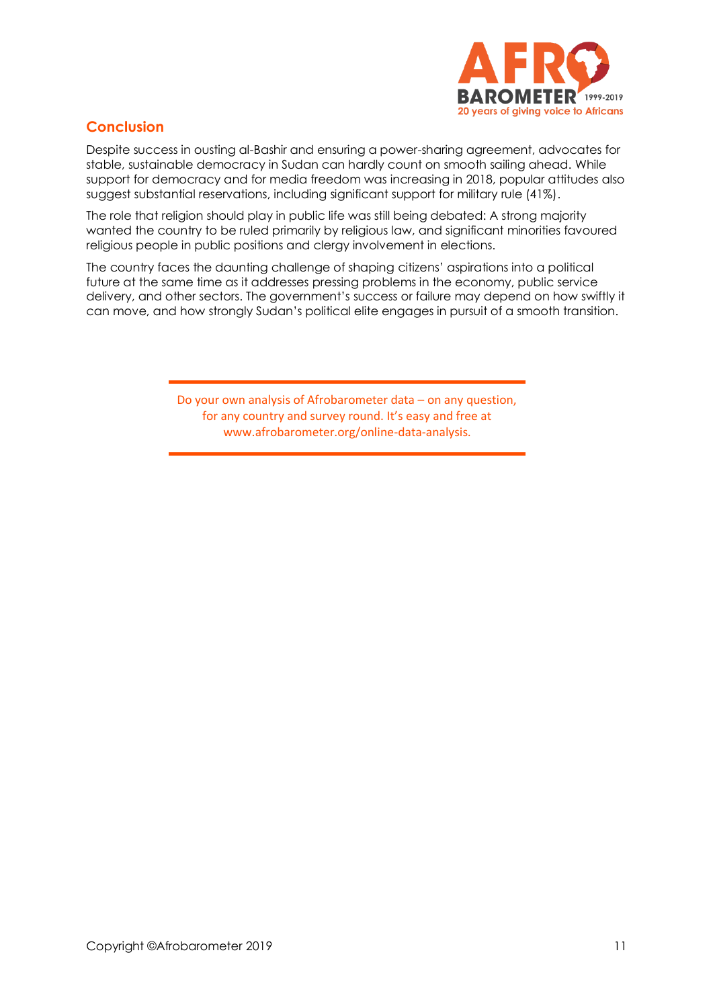

# **Conclusion**

Despite success in ousting al-Bashir and ensuring a power-sharing agreement, advocates for stable, sustainable democracy in Sudan can hardly count on smooth sailing ahead. While support for democracy and for media freedom was increasing in 2018, popular attitudes also suggest substantial reservations, including significant support for military rule (41%).

The role that religion should play in public life was still being debated: A strong majority wanted the country to be ruled primarily by religious law, and significant minorities favoured religious people in public positions and clergy involvement in elections.

The country faces the daunting challenge of shaping citizens' aspirations into a political future at the same time as it addresses pressing problems in the economy, public service delivery, and other sectors. The government's success or failure may depend on how swiftly it can move, and how strongly Sudan's political elite engages in pursuit of a smooth transition.

> Do your own analysis of Afrobarometer data – on any question, for any country and survey round. It's easy and free at www.afrobarometer.org/online-data-analysis.